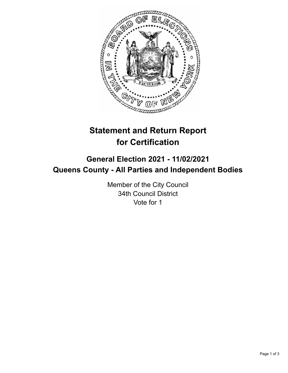

# **Statement and Return Report for Certification**

## **General Election 2021 - 11/02/2021 Queens County - All Parties and Independent Bodies**

Member of the City Council 34th Council District Vote for 1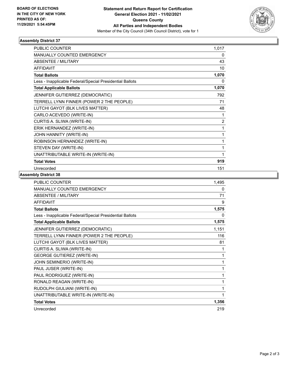

### **Assembly District 37**

| PUBLIC COUNTER                                           | 1,017 |
|----------------------------------------------------------|-------|
| MANUALLY COUNTED EMERGENCY                               | 0     |
| <b>ABSENTEE / MILITARY</b>                               | 43    |
| <b>AFFIDAVIT</b>                                         | 10    |
| <b>Total Ballots</b>                                     | 1,070 |
| Less - Inapplicable Federal/Special Presidential Ballots | 0     |
| <b>Total Applicable Ballots</b>                          | 1,070 |
| JENNIFER GUTIERREZ (DEMOCRATIC)                          | 792   |
| TERRELL LYNN FINNER (POWER 2 THE PEOPLE)                 | 71    |
| LUTCHI GAYOT (BLK LIVES MATTER)                          | 48    |
| CARLO ACEVEDO (WRITE-IN)                                 | 1     |
| CURTIS A. SLIWA (WRITE-IN)                               | 2     |
| ERIK HERNANDEZ (WRITE-IN)                                | 1     |
| JOHN HANNITY (WRITE-IN)                                  | 1     |
| ROBINSON HERNANDEZ (WRITE-IN)                            | 1     |
| STEVEN DAY (WRITE-IN)                                    | 1     |
| UNATTRIBUTABLE WRITE-IN (WRITE-IN)                       | 1     |
| <b>Total Votes</b>                                       | 919   |
| Unrecorded                                               | 151   |

### **Assembly District 38**

| PUBLIC COUNTER                                           | 1,495 |
|----------------------------------------------------------|-------|
| MANUALLY COUNTED EMERGENCY                               | 0     |
| <b>ABSENTEE / MILITARY</b>                               | 71    |
| <b>AFFIDAVIT</b>                                         | 9     |
| <b>Total Ballots</b>                                     | 1,575 |
| Less - Inapplicable Federal/Special Presidential Ballots | 0     |
| <b>Total Applicable Ballots</b>                          | 1,575 |
| JENNIFER GUTIERREZ (DEMOCRATIC)                          | 1,151 |
| TERRELL LYNN FINNER (POWER 2 THE PEOPLE)                 | 116   |
| LUTCHI GAYOT (BLK LIVES MATTER)                          | 81    |
| CURTIS A. SLIWA (WRITE-IN)                               | 1     |
| <b>GEORGE GUTIEREZ (WRITE-IN)</b>                        | 1     |
| JOHN SEMINERIO (WRITE-IN)                                | 1     |
| PAUL JUSER (WRITE-IN)                                    | 1     |
| PAUL RODRIGUEZ (WRITE-IN)                                | 1     |
| RONALD REAGAN (WRITE-IN)                                 | 1     |
| RUDOLPH GIULIANI (WRITE-IN)                              | 1     |
| UNATTRIBUTABLE WRITE-IN (WRITE-IN)                       | 1     |
| <b>Total Votes</b>                                       | 1,356 |
| Unrecorded                                               | 219   |